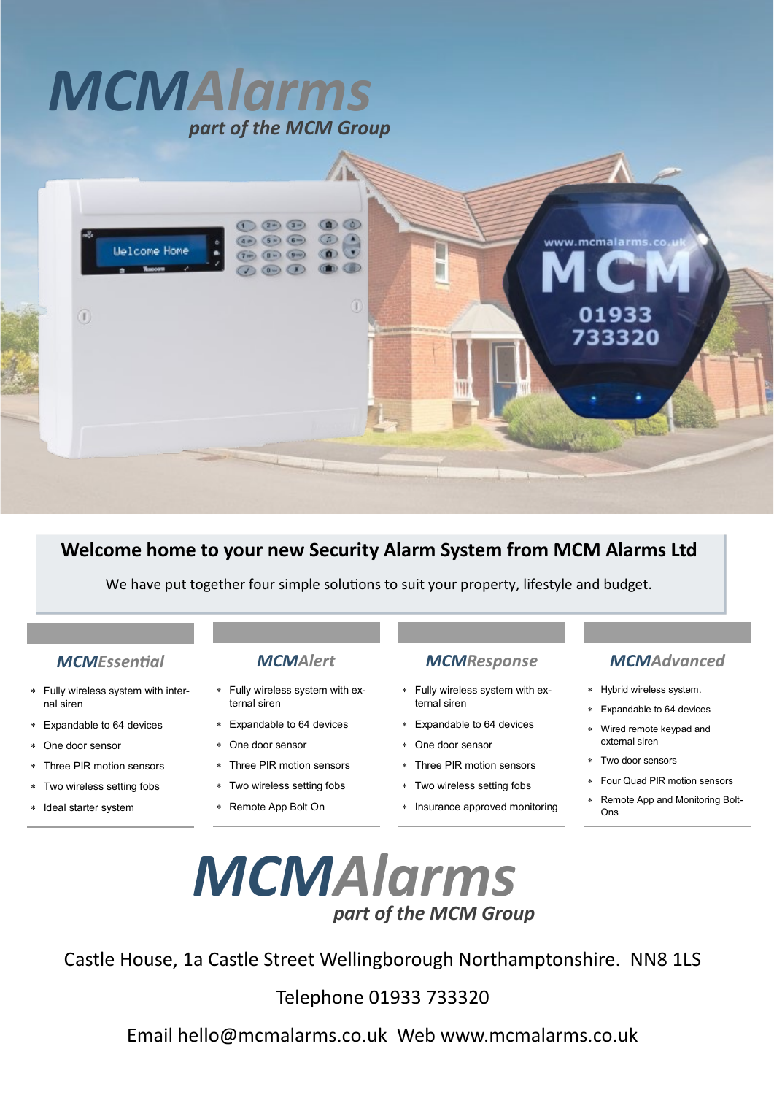# *MCMAlarms part of the MCM Group*



### **Welcome home to your new Security Alarm System from MCM Alarms Ltd**

We have put together four simple solutions to suit your property, lifestyle and budget.

#### *MCMEssential*

- Fully wireless system with internal siren
- Expandable to 64 devices
- One door sensor
- Three PIR motion sensors
- Two wireless setting fobs
- \* Ideal starter system

#### *MCMAlert*

- Fully wireless system with external siren
- Expandable to 64 devices
- One door sensor
- Three PIR motion sensors
- Two wireless setting fobs
- Remote App Bolt On

#### *MCMResponse*

- Fully wireless system with external siren
- Expandable to 64 devices
- One door sensor
- Three PIR motion sensors
- Two wireless setting fobs
- Insurance approved monitoring

### *MCMAdvanced*

- Hybrid wireless system.
- Expandable to 64 devices
- Wired remote keypad and external siren
- Two door sensors
- Four Quad PIR motion sensors
- Remote App and Monitoring Bolt-Ons



Castle House, 1a Castle Street Wellingborough Northamptonshire. NN8 1LS

Telephone 01933 733320

Email hello@mcmalarms.co.uk Web www.mcmalarms.co.uk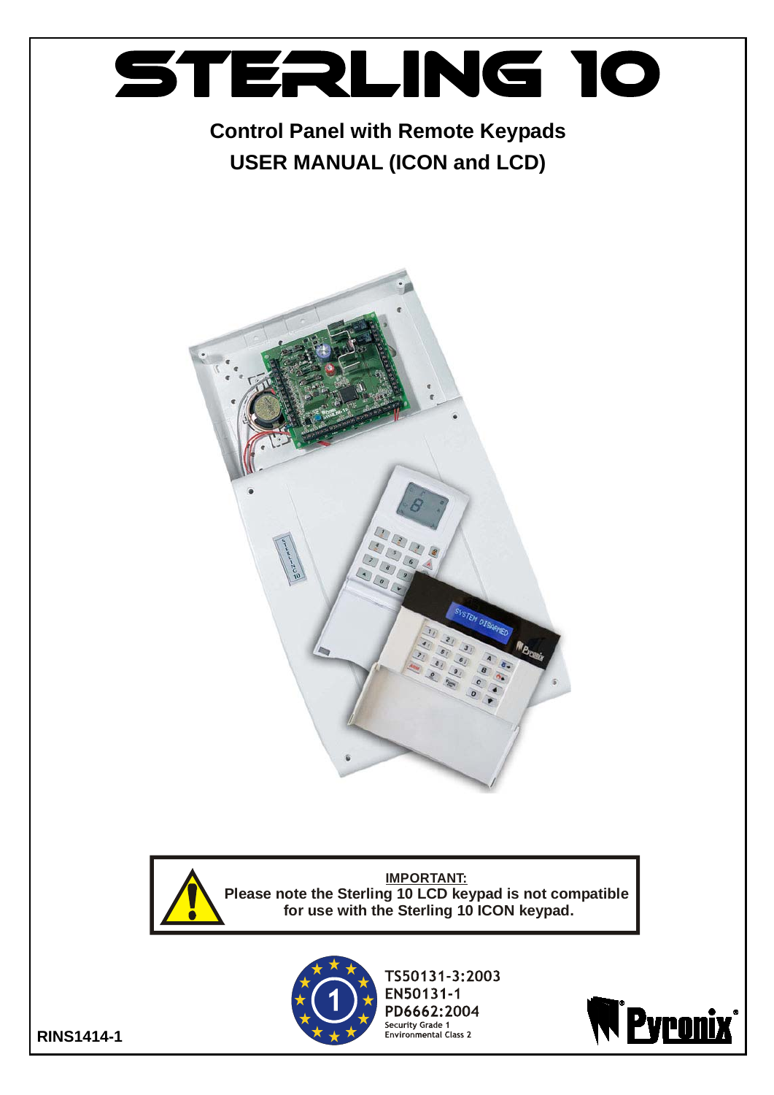

## **Control Panel with Remote Keypads USER MANUAL (ICON and LCD)**





**IMPORTANT: Please note the Sterling 10 LCD keypad is not compatible for use with the Sterling 10 ICON keypad.**



TS50131-3:2003 EN50131-1 PD6662:2004 Security Grade 1<br>Environmental Class 2



**RINS1414-1**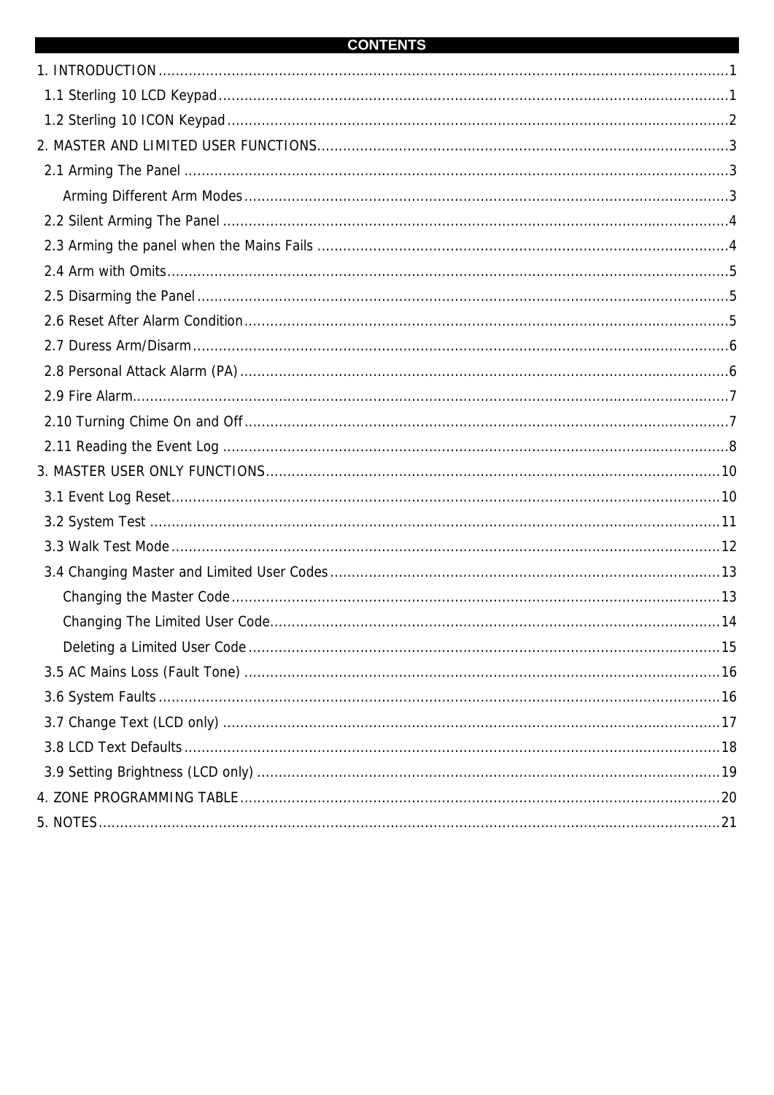#### **CONTENTS**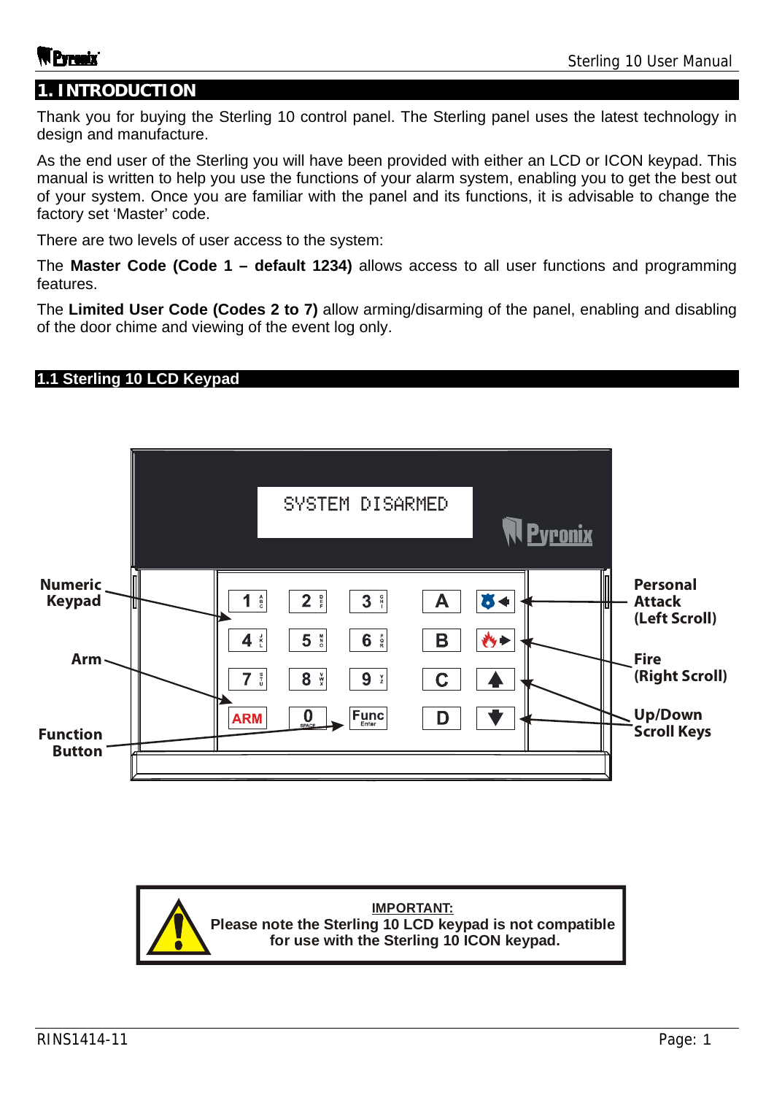### **1. INTRODUCTION**

Thank you for buying the Sterling 10 control panel. The Sterling panel uses the latest technology in design and manufacture.

As the end user of the Sterling you will have been provided with either an LCD or ICON keypad. This manual is written to help you use the functions of your alarm system, enabling you to get the best out of your system. Once you are familiar with the panel and its functions, it is advisable to change the factory set 'Master' code.

There are two levels of user access to the system:

The **Master Code (Code 1 – default 1234)** allows access to all user functions and programming features.

The **Limited User Code (Codes 2 to 7)** allow arming/disarming of the panel, enabling and disabling of the door chime and viewing of the event log only.

#### **1.1 Sterling 10 LCD Keypad**

|                                  |                             | SYSTEM DISARMED                                                                                                                                                     |                   | <b>Pyronix</b> |                                                   |
|----------------------------------|-----------------------------|---------------------------------------------------------------------------------------------------------------------------------------------------------------------|-------------------|----------------|---------------------------------------------------|
| <b>Numeric</b><br><b>Keypad</b>  | ▥<br>$\mathbf 1$<br>DÏ<br>4 | 2 <sup>2</sup><br>$\overline{\mathbf{3}}$<br>$\Gamma$<br>$_{\rm c}^{\rm A}$<br>$\frac{p}{r}$<br>5 <sup>M</sup><br>$6\phantom{1}6$<br>$\frac{p}{R}$<br>$\frac{1}{K}$ | IJ<br>Α<br>B<br>炒 | I<br>Ш         | <b>Personal</b><br><b>Attack</b><br>(Left Scroll) |
| Arm                              | 7<br><b>ARM</b>             | $\frac{5}{0}$<br>8<br>$\times\mathbb{R}$<br>9<br>$\frac{\mathsf{Y}}{\mathsf{Z}}$<br>$ F_{\text{Enter}}^{unc} $<br>$\int_{\text{SPACE}}$                             | C<br>n            |                | <b>Fire</b><br>(Right Scroll)<br><b>Up/Down</b>   |
| <b>Function</b><br><b>Button</b> |                             |                                                                                                                                                                     |                   |                | <b>Scroll Keys</b>                                |

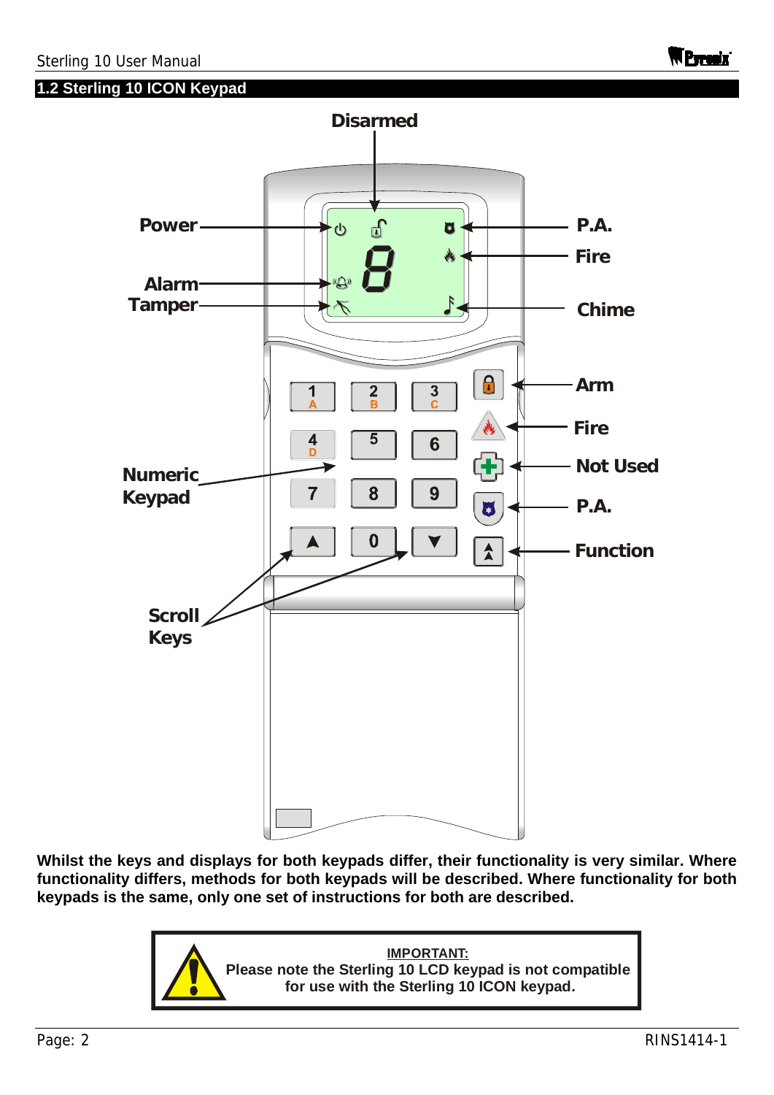**1.2 Sterling 10 ICON Keypad** 



**Whilst the keys and displays for both keypads differ, their functionality is very similar. Where functionality differs, methods for both keypads will be described. Where functionality for both keypads is the same, only one set of instructions for both are described.** 

> **IMPORTANT: Please note the Sterling 10 LCD keypad is not compatible for use with the Sterling 10 ICON keypad.**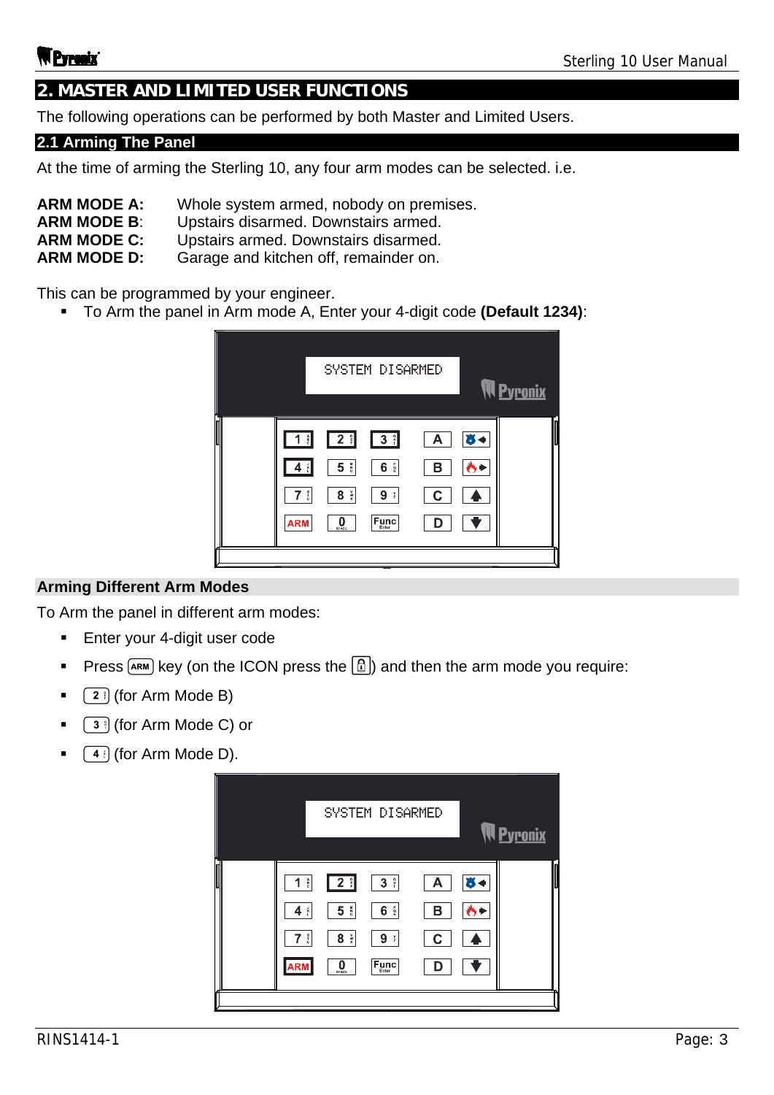## **2. MASTER AND LIMITED USER FUNCTIONS**

The following operations can be performed by both Master and Limited Users.

#### **2.1 Arming The Panel**

At the time of arming the Sterling 10, any four arm modes can be selected. i.e.

- **ARM MODE A:** Whole system armed, nobody on premises.
- **ARM MODE B**: Upstairs disarmed. Downstairs armed.
- **ARM MODE C:** Upstairs armed. Downstairs disarmed.
- **ARM MODE D:** Garage and kitchen off, remainder on.

This can be programmed by your engineer.

To Arm the panel in Arm mode A, Enter your 4-digit code **(Default 1234)**:

|   |                                                 |                                                                       | SYSTEM DISARMED                                                                                                                              |                  |    | <b>Pyronix</b> |
|---|-------------------------------------------------|-----------------------------------------------------------------------|----------------------------------------------------------------------------------------------------------------------------------------------|------------------|----|----------------|
| ║ | 1 <sup>8</sup><br>$7 \frac{1}{5}$<br><b>ARM</b> | 2 <sup>°</sup><br>$\frac{1}{2}$<br>5<br>$8 \frac{v}{x}$<br>0<br>SPACE | 3 <sup>°</sup><br>$\frac{P}{R}$<br>6<br>9<br>$-\frac{\mathsf{Y}}{\mathsf{Z}}$<br>$\left  \mathsf{F}_{\mathsf{Enter}}^{\mathsf{unc}} \right $ | А<br>в<br>C<br>D | ж. |                |

#### **Arming Different Arm Modes**

To Arm the panel in different arm modes:

- **Enter your 4-digit user code**
- Press  $\overline{R}$  Rey (on the ICON press the  $\boxed{1}$ ) and then the arm mode you require:
- $\bullet$   $\left(2\right)$  (for Arm Mode B)
- (for Arm Mode C) or
- $(4)$  (for Arm Mode D).

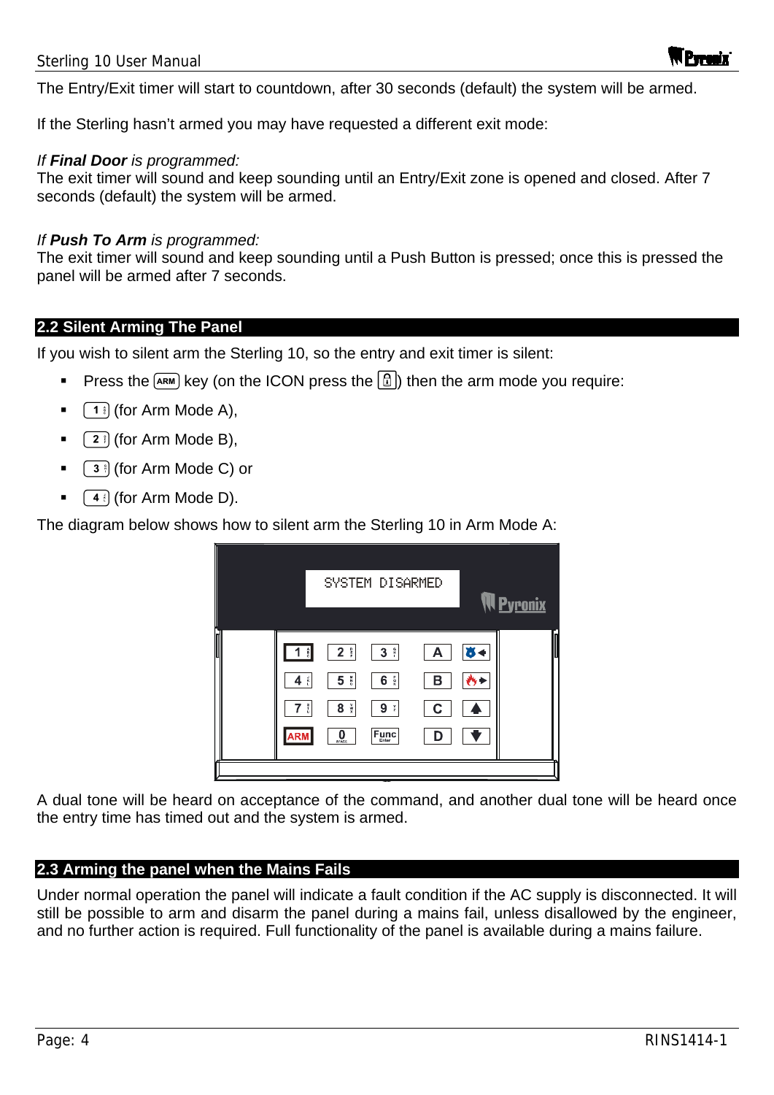The Entry/Exit timer will start to countdown, after 30 seconds (default) the system will be armed.

If the Sterling hasn't armed you may have requested a different exit mode:

#### *If Final Door is programmed:*

The exit timer will sound and keep sounding until an Entry/Exit zone is opened and closed. After 7 seconds (default) the system will be armed.

#### *If Push To Arm is programmed:*

The exit timer will sound and keep sounding until a Push Button is pressed; once this is pressed the panel will be armed after 7 seconds.

#### **2.2 Silent Arming The Panel**

If you wish to silent arm the Sterling 10, so the entry and exit timer is silent:

- Press the  $\overline{R}$  key (on the ICON press the  $\boxed{1}$ ) then the arm mode you require:
- $\lceil 1 \rceil$  (for Arm Mode A),
- $\sqrt{2}$  (for Arm Mode B),
- (for Arm Mode C) or
- $(4)$  (for Arm Mode D).

The diagram below shows how to silent arm the Sterling 10 in Arm Mode A:

|                                            |                                                                                  | SYSTEM DISARMED                                             |                  |                      | <b>N <u>Pyronix</u></b> |
|--------------------------------------------|----------------------------------------------------------------------------------|-------------------------------------------------------------|------------------|----------------------|-------------------------|
| 1 <sup>4</sup><br>$4$ $\frac{1}{1}$<br>7 i | $2$ $\frac{6}{5}$<br>$5 \frac{N}{6}$<br>$8 \frac{v}{x}$<br>$\int_{\text{SPACE}}$ | $3$ $\degree$<br>6 <sup>°</sup><br>9:<br>$F_{\text{Enter}}$ | A<br>в<br>С<br>D | $\ddot{\phantom{a}}$ |                         |

A dual tone will be heard on acceptance of the command, and another dual tone will be heard once the entry time has timed out and the system is armed.

#### **2.3 Arming the panel when the Mains Fails**

Under normal operation the panel will indicate a fault condition if the AC supply is disconnected. It will still be possible to arm and disarm the panel during a mains fail, unless disallowed by the engineer, and no further action is required. Full functionality of the panel is available during a mains failure.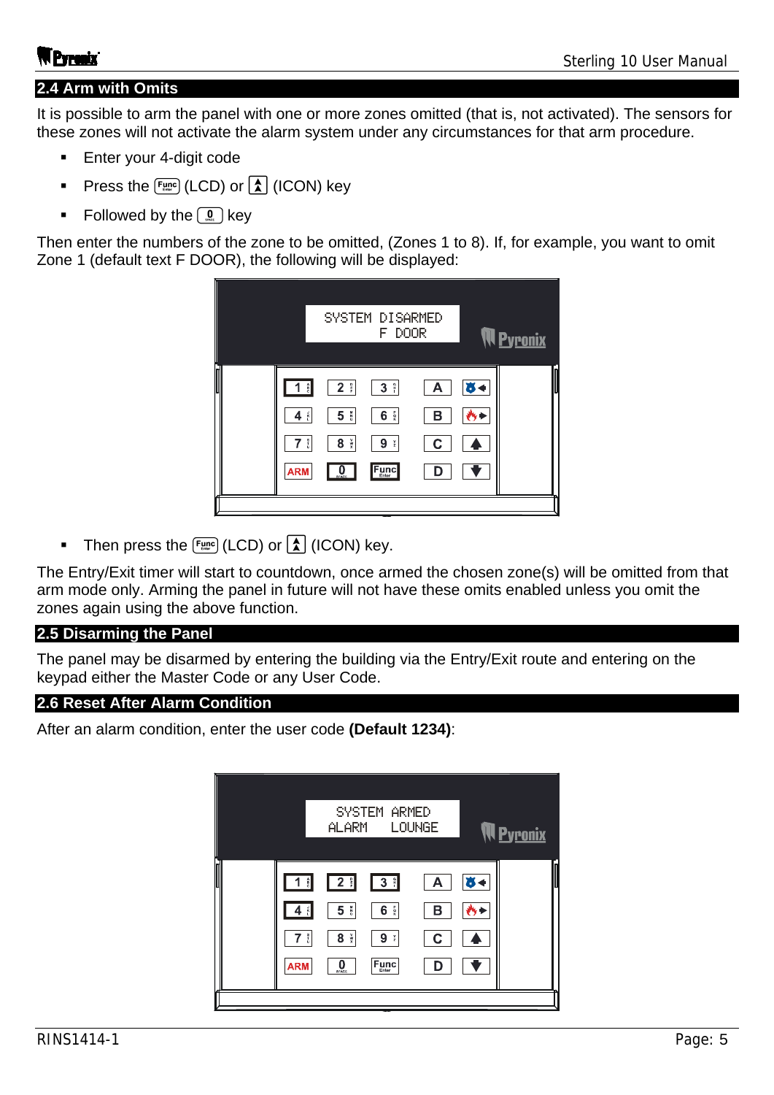#### **2.4 Arm with Omits**

It is possible to arm the panel with one or more zones omitted (that is, not activated). The sensors for these zones will not activate the alarm system under any circumstances for that arm procedure.

- **Enter your 4-digit code**
- Press the  $\lceil \frac{F_{\text{LMC}}}{F_{\text{LMC}}} \rceil$  (LCD) or  $\lceil \frac{1}{\Lambda} \rceil$  (ICON) key
- Followed by the  $\left( \mathbb{Q}\right)$  key

Then enter the numbers of the zone to be omitted, (Zones 1 to 8). If, for example, you want to omit Zone 1 (default text F DOOR), the following will be displayed:



Then press the  $\lceil \frac{F_{\text{MD}}}{F_{\text{MD}}} \rceil$  (LCD) or  $\lceil \frac{1}{A} \rceil$  (ICON) key.

The Entry/Exit timer will start to countdown, once armed the chosen zone(s) will be omitted from that arm mode only. Arming the panel in future will not have these omits enabled unless you omit the zones again using the above function.

#### **2.5 Disarming the Panel**

The panel may be disarmed by entering the building via the Entry/Exit route and entering on the keypad either the Master Code or any User Code.

#### **2.6 Reset After Alarm Condition**

After an alarm condition, enter the user code **(Default 1234)**:

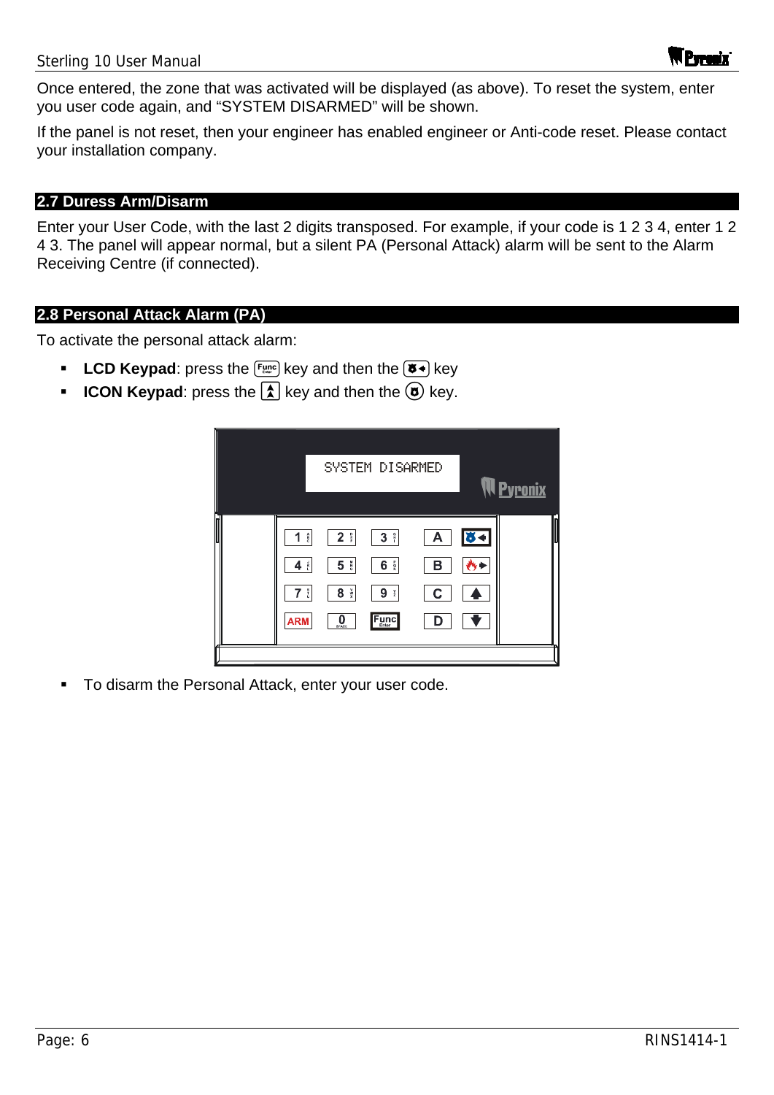Once entered, the zone that was activated will be displayed (as above). To reset the system, enter you user code again, and "SYSTEM DISARMED" will be shown.

If the panel is not reset, then your engineer has enabled engineer or Anti-code reset. Please contact your installation company.

#### **2.7 Duress Arm/Disarm**

Enter your User Code, with the last 2 digits transposed. For example, if your code is 1 2 3 4, enter 1 2 4 3. The panel will appear normal, but a silent PA (Personal Attack) alarm will be sent to the Alarm Receiving Centre (if connected).

#### **2.8 Personal Attack Alarm (PA)**

To activate the personal attack alarm:

- **LCD Keypad**: press the  $F_{\text{time}}$  key and then the  $(\overline{6})$  key
- **ICON Keypad**: press the  $\boxed{\lambda}$  key and then the  $\boxed{\alpha}$  key.

|                                                                        |                                                                 | SYSTEM DISARMED                                              |                             |             | <b>N</b> Pyronix |
|------------------------------------------------------------------------|-----------------------------------------------------------------|--------------------------------------------------------------|-----------------------------|-------------|------------------|
| 1 <sup>a</sup><br>$4$ $\frac{3}{5}$<br>$7\;\mathring{ }$<br><b>ARM</b> | 2:<br>5 <sup>8</sup><br>$\frac{v}{x}$<br>8<br>0<br><b>SPACE</b> | $3 \nparallel$<br>$6\frac{p}{R}$<br>9:<br>$F_{\text{inter}}$ | $\mathsf{A}$<br>в<br>C<br>D | $8 -$<br>M. |                  |
|                                                                        |                                                                 |                                                              |                             |             |                  |

To disarm the Personal Attack, enter your user code.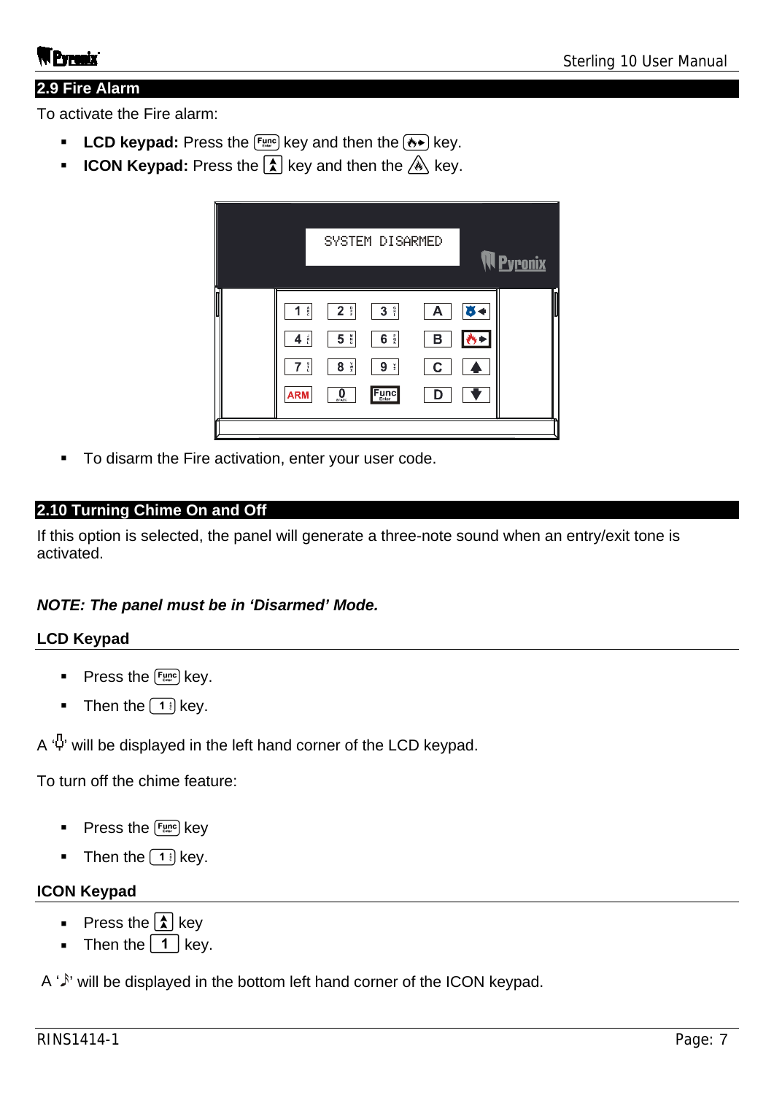#### **2.9 Fire Alarm**

To activate the Fire alarm:

- **LCD keypad:** Press the  $\lceil \frac{Func}{m} \rceil$  key and then the  $\lfloor \frac{1}{k} \rfloor$  key.
- **ICON Keypad:** Press the  $\boxed{\triangle}$  key and then the  $\overset{\mathcal{A}}{\triangle}$  key.

| $2$ $\frac{6}{5}$<br>3 <sup>°</sup><br>$_{\rm c}^{\rm A}$<br>1<br>$\frac{p}{R}$<br>5 <sup>8</sup><br>$\mathbf{r}$<br>6<br>4<br>$\frac{5}{5}$<br>$\frac{v}{x}$<br>8<br>9:<br>7<br>$F_{\text{Enter}}$<br>0<br><b>ARM</b><br><b>SPACE</b> | SYSTEM DISARMED            | <b>Pyronix</b> |
|----------------------------------------------------------------------------------------------------------------------------------------------------------------------------------------------------------------------------------------|----------------------------|----------------|
|                                                                                                                                                                                                                                        | А<br>в<br>С<br>$\mathbf D$ |                |

To disarm the Fire activation, enter your user code.

#### **2.10 Turning Chime On and Off**

If this option is selected, the panel will generate a three-note sound when an entry/exit tone is activated.

#### *NOTE: The panel must be in 'Disarmed' Mode.*

#### **LCD Keypad**

- Press the  $F_{\text{time}}$  key.
- Then the  $\boxed{1}$  key.

 $A \cdot \Phi'$  will be displayed in the left hand corner of the LCD keypad.

To turn off the chime feature:

- Press the  $F_{\text{unc}}$  key
- Then the  $\left( 1 \right)$  key.

#### **ICON Keypad**

- Press the  $\boxed{\triangle}$  key
- **Then the**  $\begin{bmatrix} 1 \end{bmatrix}$  **key.**

A  $\hat{P}$  will be displayed in the bottom left hand corner of the ICON keypad.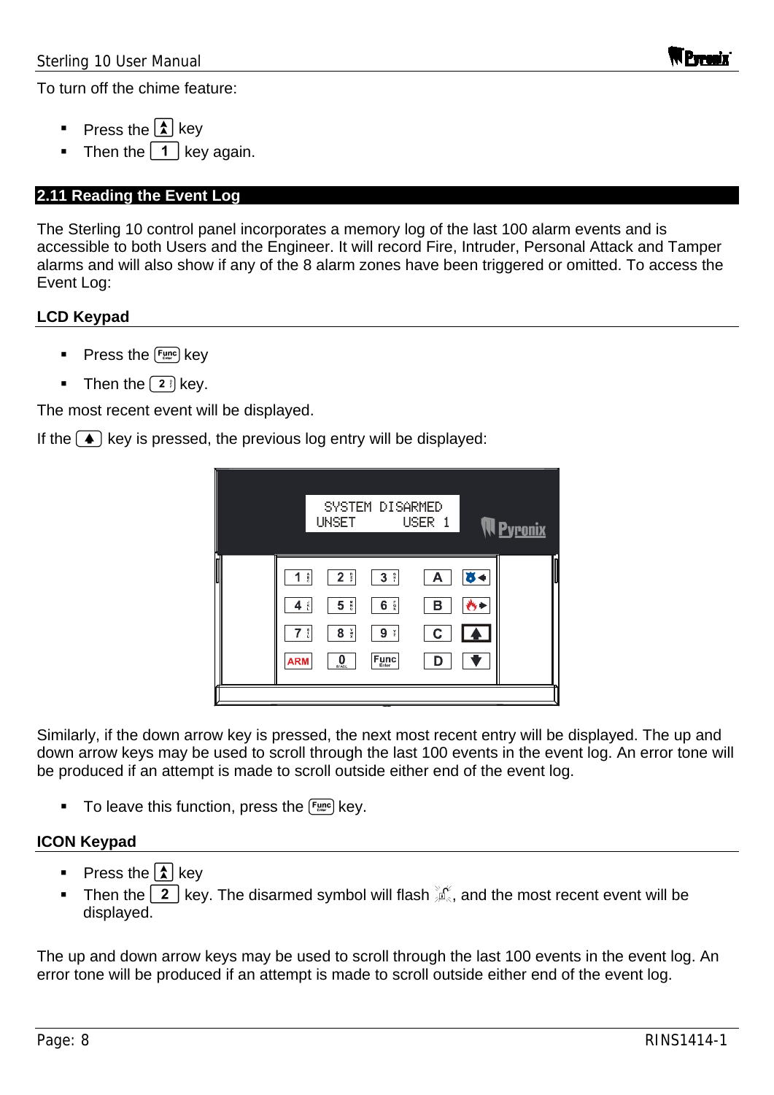To turn off the chime feature:

- Press the  $\Omega$  key
- Then the  $\boxed{1}$  key again.

#### **2.11 Reading the Event Log**

The Sterling 10 control panel incorporates a memory log of the last 100 alarm events and is accessible to both Users and the Engineer. It will record Fire, Intruder, Personal Attack and Tamper alarms and will also show if any of the 8 alarm zones have been triggered or omitted. To access the Event Log:

#### **LCD Keypad**

- Press the **Func** key
- Then the  $\boxed{2}$  key.

The most recent event will be displayed.

If the  $\left( \bullet \right)$  key is pressed, the previous log entry will be displayed:



Similarly, if the down arrow key is pressed, the next most recent entry will be displayed. The up and down arrow keys may be used to scroll through the last 100 events in the event log. An error tone will be produced if an attempt is made to scroll outside either end of the event log.

To leave this function, press the  $F_{\text{time}}$  key.

#### **ICON Keypad**

- Press the  $\lambda$  key
- Then the  $\boxed{2}$  key. The disarmed symbol will flash  $\frac{3}{2}$ , and the most recent event will be displayed.

The up and down arrow keys may be used to scroll through the last 100 events in the event log. An error tone will be produced if an attempt is made to scroll outside either end of the event log.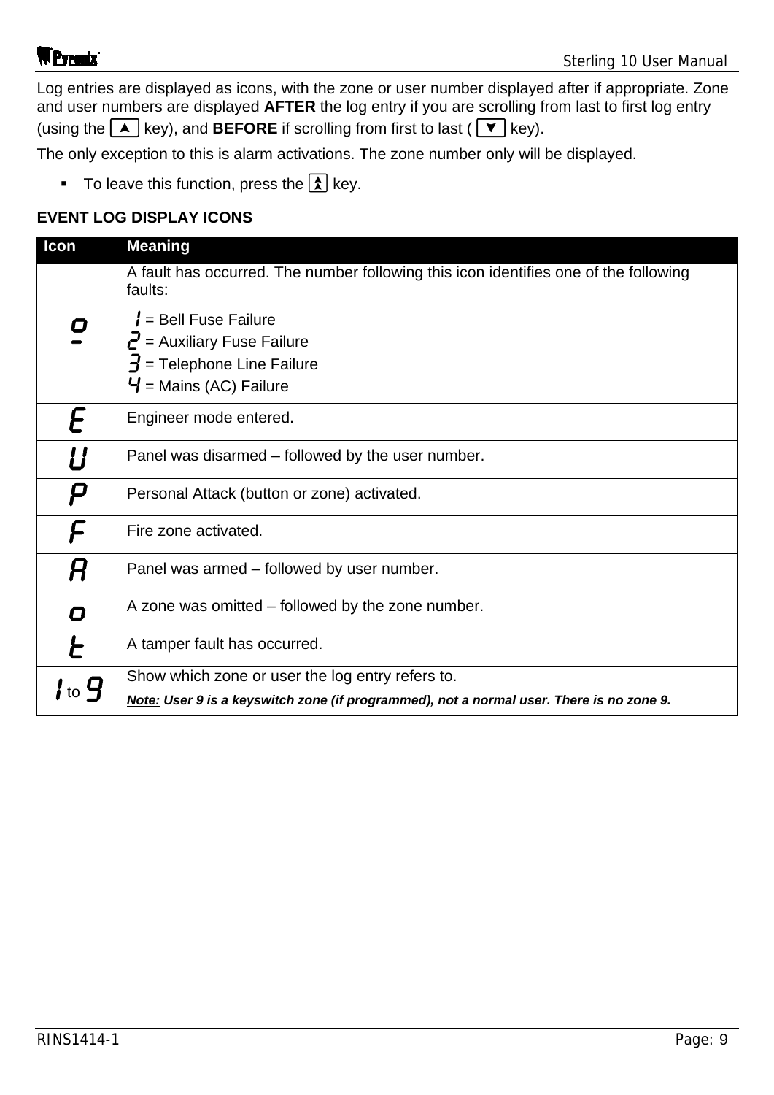Log entries are displayed as icons, with the zone or user number displayed after if appropriate. Zone and user numbers are displayed **AFTER** the log entry if you are scrolling from last to first log entry (using the  $\boxed{\blacktriangle}$  key), and **BEFORE** if scrolling from first to last ( $\boxed{\blacktriangledown}$  key).

The only exception to this is alarm activations. The zone number only will be displayed.

To leave this function, press the  $\boxed{\uparrow}$  key.

#### **EVENT LOG DISPLAY ICONS**

| Icon                        | <b>Meaning</b>                                                                                                                                |
|-----------------------------|-----------------------------------------------------------------------------------------------------------------------------------------------|
|                             | A fault has occurred. The number following this icon identifies one of the following<br>faults:                                               |
| 0                           | $l =$ Bell Fuse Failure<br>$\vec{e}$ = Auxiliary Fuse Failure<br>$\vec{J}$ = Telephone Line Failure<br>$\bm{\mathsf{Y}}$ = Mains (AC) Failure |
| E                           | Engineer mode entered.                                                                                                                        |
| U                           | Panel was disarmed – followed by the user number.                                                                                             |
| Ρ                           | Personal Attack (button or zone) activated.                                                                                                   |
|                             | Fire zone activated.                                                                                                                          |
| R                           | Panel was armed - followed by user number.                                                                                                    |
| 0                           | A zone was omitted – followed by the zone number.                                                                                             |
| Ł                           | A tamper fault has occurred.                                                                                                                  |
| $\mathsf{H}$ to $\mathbf G$ | Show which zone or user the log entry refers to.<br>Note: User 9 is a keyswitch zone (if programmed), not a normal user. There is no zone 9.  |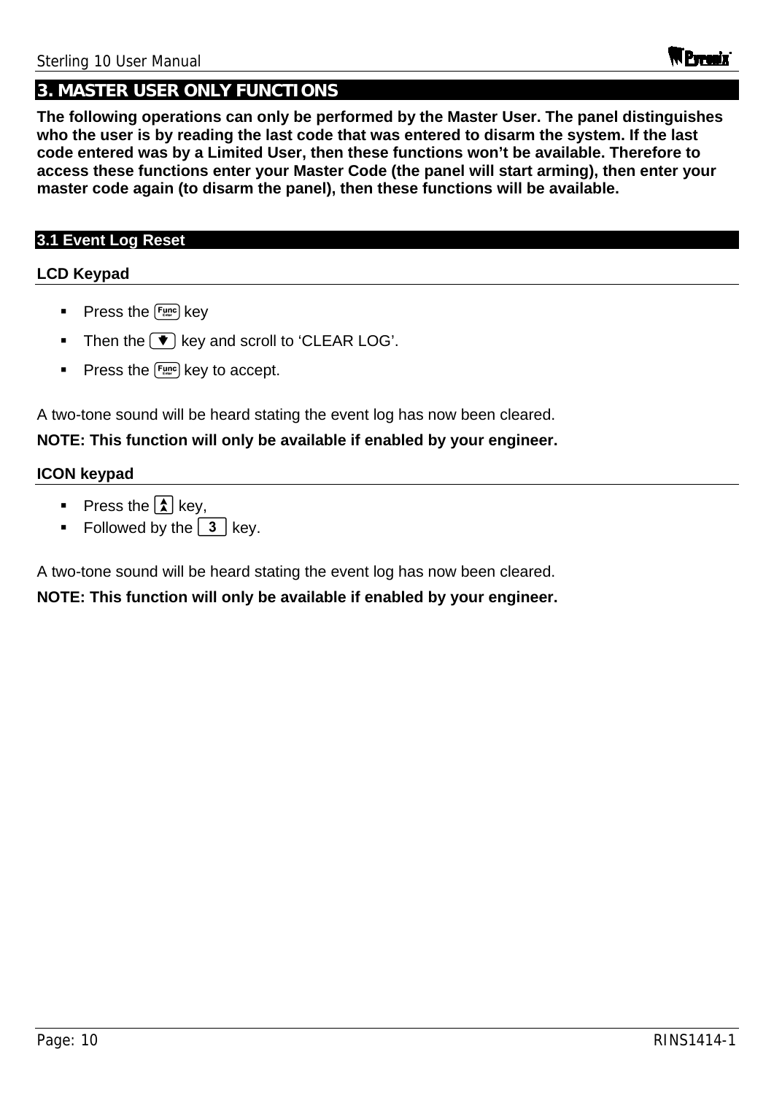### **3. MASTER USER ONLY FUNCTIONS**

**The following operations can only be performed by the Master User. The panel distinguishes who the user is by reading the last code that was entered to disarm the system. If the last code entered was by a Limited User, then these functions won't be available. Therefore to access these functions enter your Master Code (the panel will start arming), then enter your master code again (to disarm the panel), then these functions will be available.** 

#### **3.1 Event Log Reset**

#### **LCD Keypad**

- Press the  $F_{\text{time}}$  key
- Then the  $\blacktriangledown$  key and scroll to 'CLEAR LOG'.
- Press the  $F_{\text{time}}$  key to accept.

A two-tone sound will be heard stating the event log has now been cleared.

#### **NOTE: This function will only be available if enabled by your engineer.**

#### **ICON keypad**

- Press the  $\lambda$  key,
- Followed by the  $\boxed{3}$  key.

A two-tone sound will be heard stating the event log has now been cleared.

**NOTE: This function will only be available if enabled by your engineer.**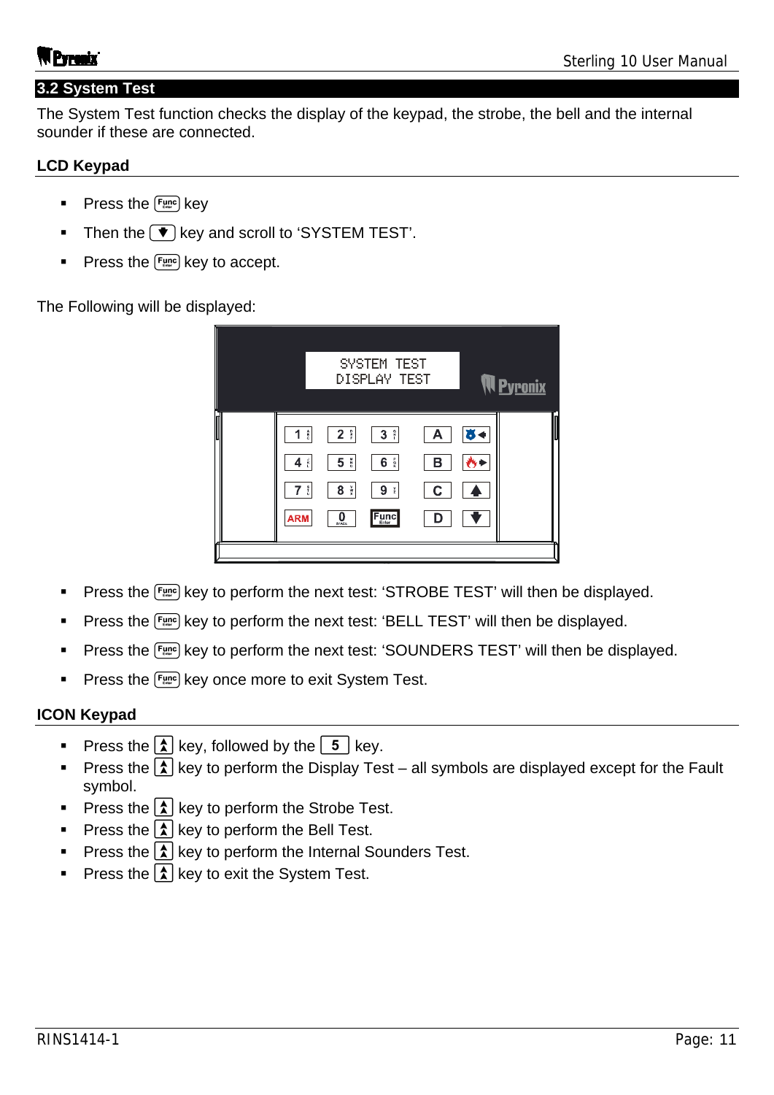#### **3.2 System Test**

The System Test function checks the display of the keypad, the strobe, the bell and the internal sounder if these are connected.

#### **LCD Keypad**

- Press the  $F_{\text{enc}}$  key
- $\blacksquare$  Then the  $\blacktriangledown$  key and scroll to 'SYSTEM TEST'.
- Press the  $F_{\text{enc}}$  key to accept.

The Following will be displayed:

|   |                                                                                                                                                            | SYSTEM TEST<br>DISPLAY TEST                                                                        |                  |    |  |
|---|------------------------------------------------------------------------------------------------------------------------------------------------------------|----------------------------------------------------------------------------------------------------|------------------|----|--|
| M | $2$ $\frac{6}{5}$<br>1<br>$\frac{A}{c}$<br>5 <sup>8</sup><br>$4$ $\frac{1}{5}$<br>$7 \frac{1}{5}$<br>$\frac{v}{x}$<br>8<br>0<br><b>ARM</b><br><b>SPACE</b> | 3 <sup>°</sup><br>$\frac{p}{R}$<br>6<br>9<br>$\frac{\mathsf{Y}}{\mathsf{Z}}$<br>$F_{\text{Enter}}$ | А<br>в<br>С<br>D | a) |  |
|   |                                                                                                                                                            |                                                                                                    |                  |    |  |

- **Press the**  $\lceil \frac{F_{\text{LMC}}}{F_{\text{LMC}}}\rceil$  **key to perform the next test: 'STROBE TEST' will then be displayed.**
- **Press the Funcil key to perform the next test: 'BELL TEST' will then be displayed.**
- Press the Funce key to perform the next test: 'SOUNDERS TEST' will then be displayed.
- **Press the Funcil key once more to exit System Test.**

#### **ICON Keypad**

- Press the  $\left| \boldsymbol{\hat{\lambda}} \right|$  key, followed by the  $\left| \boldsymbol{\hat{5}} \right|$  key.
- Press the  $\boxed{\lambda}$  key to perform the Display Test all symbols are displayed except for the Fault symbol.
- Press the  $\lambda$  key to perform the Strobe Test.
- Press the  $\left[\frac{\lambda}{\lambda}\right]$  key to perform the Bell Test.
- Press the  $\lambda$  key to perform the Internal Sounders Test.
- Press the  $\boxed{\mathbf{\hat{x}}}$  key to exit the System Test.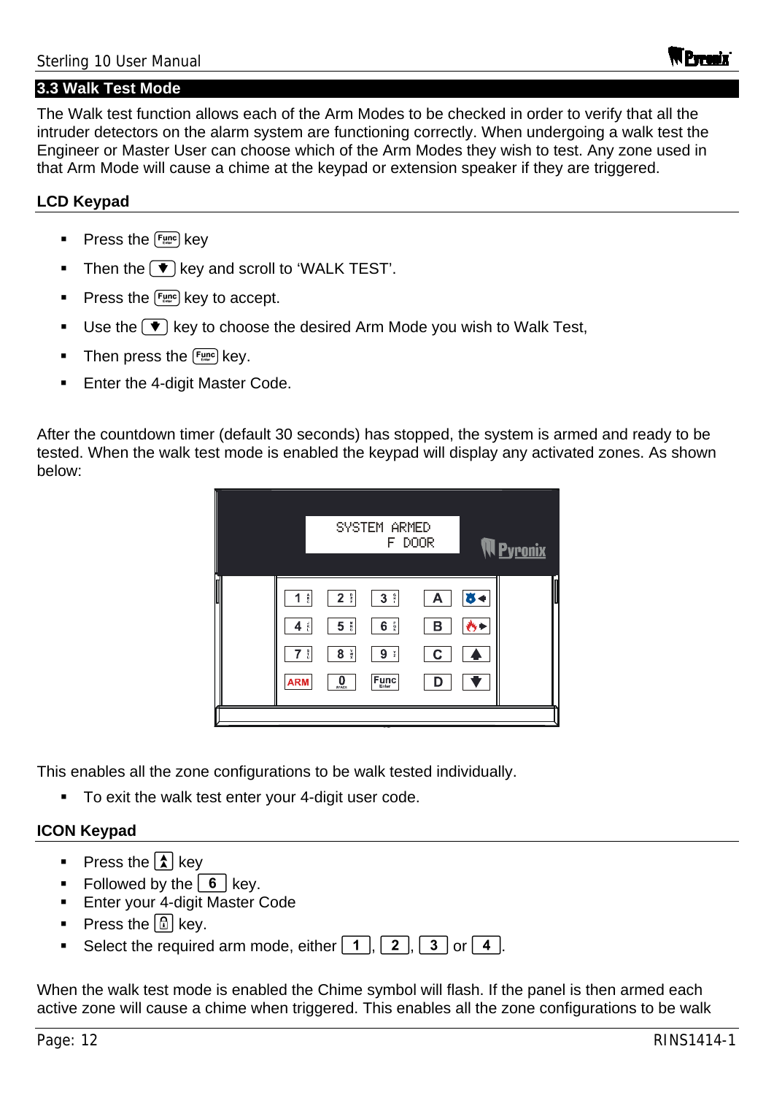#### **3.3 Walk Test Mode**

The Walk test function allows each of the Arm Modes to be checked in order to verify that all the intruder detectors on the alarm system are functioning correctly. When undergoing a walk test the Engineer or Master User can choose which of the Arm Modes they wish to test. Any zone used in that Arm Mode will cause a chime at the keypad or extension speaker if they are triggered.

#### **LCD Keypad**

- Press the  $F_{\text{enc}}$  key
- Then the  $\blacktriangledown$  key and scroll to 'WALK TEST'.
- Press the  $F_{\text{time}}$  key to accept.
- Use the  $\blacktriangledown$  key to choose the desired Arm Mode you wish to Walk Test,
- Then press the  $F_{\text{time}}$  key.
- Enter the 4-digit Master Code.

After the countdown timer (default 30 seconds) has stopped, the system is armed and ready to be tested. When the walk test mode is enabled the keypad will display any activated zones. As shown below:



This enables all the zone configurations to be walk tested individually.

**To exit the walk test enter your 4-digit user code.** 

#### **ICON Keypad**

- Press the  $\boxed{\color{blue} \uparrow}$  key
- Followed by the  $\boxed{6}$  key.
- Enter your 4-digit Master Code
- Press the  $\boxed{1}$  kev.
- Select the required arm mode, either  $\boxed{1}$ ,  $\boxed{2}$ ,  $\boxed{3}$  or  $\boxed{4}$ .

When the walk test mode is enabled the Chime symbol will flash. If the panel is then armed each active zone will cause a chime when triggered. This enables all the zone configurations to be walk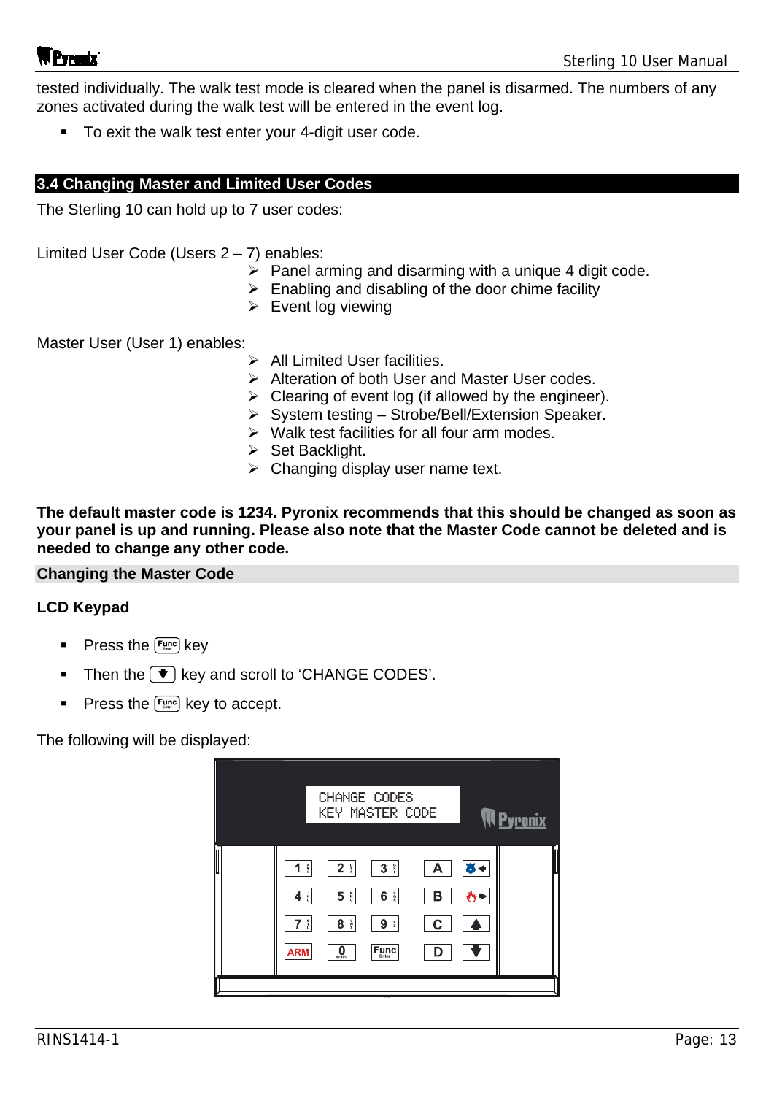tested individually. The walk test mode is cleared when the panel is disarmed. The numbers of any zones activated during the walk test will be entered in the event log.

■ To exit the walk test enter your 4-digit user code.

#### **3.4 Changing Master and Limited User Codes**

The Sterling 10 can hold up to 7 user codes:

Limited User Code (Users 2 – 7) enables:

- $\triangleright$  Panel arming and disarming with a unique 4 digit code.
- $\triangleright$  Enabling and disabling of the door chime facility
- $\triangleright$  Event log viewing

Master User (User 1) enables:

- $\triangleright$  All Limited User facilities.
- $\triangleright$  Alteration of both User and Master User codes.
- $\triangleright$  Clearing of event log (if allowed by the engineer).
- $\triangleright$  System testing Strobe/Bell/Extension Speaker.
- $\triangleright$  Walk test facilities for all four arm modes.
- $\triangleright$  Set Backlight.
- $\triangleright$  Changing display user name text.

**The default master code is 1234. Pyronix recommends that this should be changed as soon as your panel is up and running. Please also note that the Master Code cannot be deleted and is needed to change any other code.** 

#### **Changing the Master Code**

#### **LCD Keypad**

- **Press the**  $\left[ \frac{F_{\text{enc}}}{F_{\text{enc}}} \right]$  **key**
- Then the  $\blacktriangledown$  key and scroll to 'CHANGE CODES'.
- Press the  $F_{\text{time}}$  key to accept.

The following will be displayed:

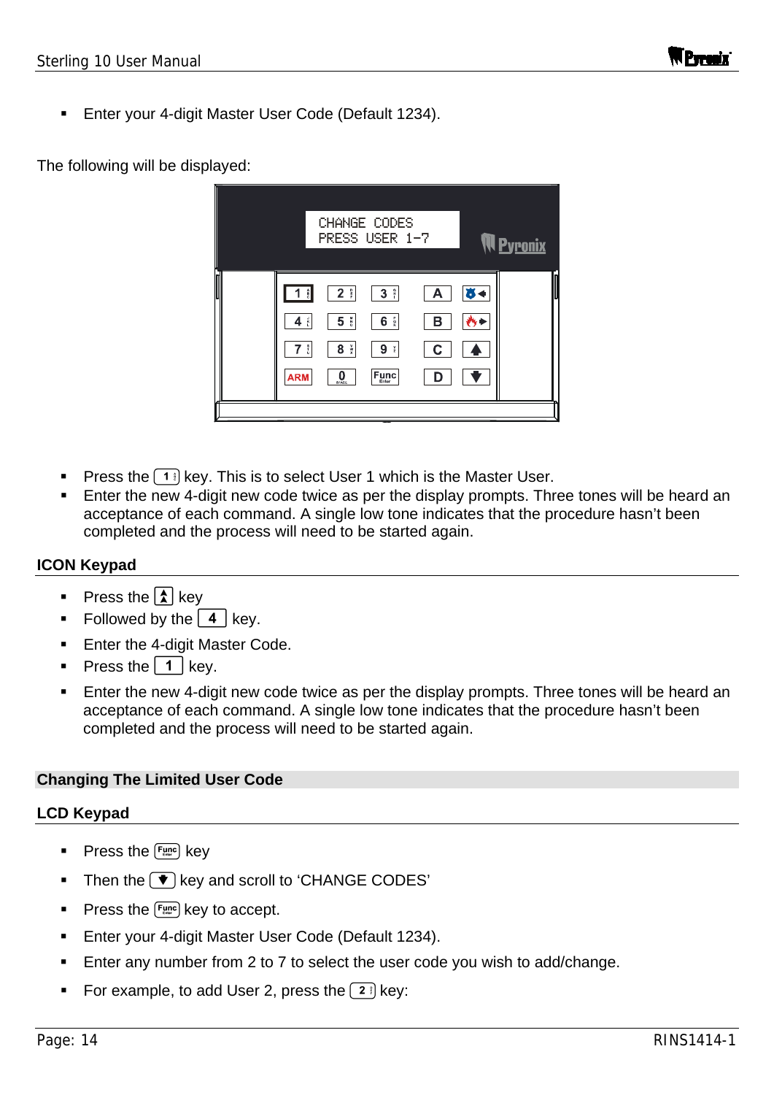Enter your 4-digit Master User Code (Default 1234).

#### The following will be displayed:



- **Press the**  $\lceil \cdot \rceil$  **key. This is to select User 1 which is the Master User.**
- **Enter the new 4-digit new code twice as per the display prompts. Three tones will be heard an** acceptance of each command. A single low tone indicates that the procedure hasn't been completed and the process will need to be started again.

#### **ICON Keypad**

- Press the  $\boxed{\color{blue}{\widehat{\lambda}}}$  key
- Followed by the  $4 \mid \text{keV}$ .
- **Enter the 4-digit Master Code.**
- Press the  $\vert 1 \vert$  key.
- **Enter the new 4-digit new code twice as per the display prompts. Three tones will be heard an** acceptance of each command. A single low tone indicates that the procedure hasn't been completed and the process will need to be started again.

#### **Changing The Limited User Code**

#### **LCD Keypad**

- Press the  $F_{\text{time}}$  key
- Then the  $\blacktriangledown$  key and scroll to 'CHANGE CODES'
- Press the  $F_{\text{time}}$  key to accept.
- **Enter your 4-digit Master User Code (Default 1234).**
- **Enter any number from 2 to 7 to select the user code you wish to add/change.**
- For example, to add User 2, press the  $(2)$  key: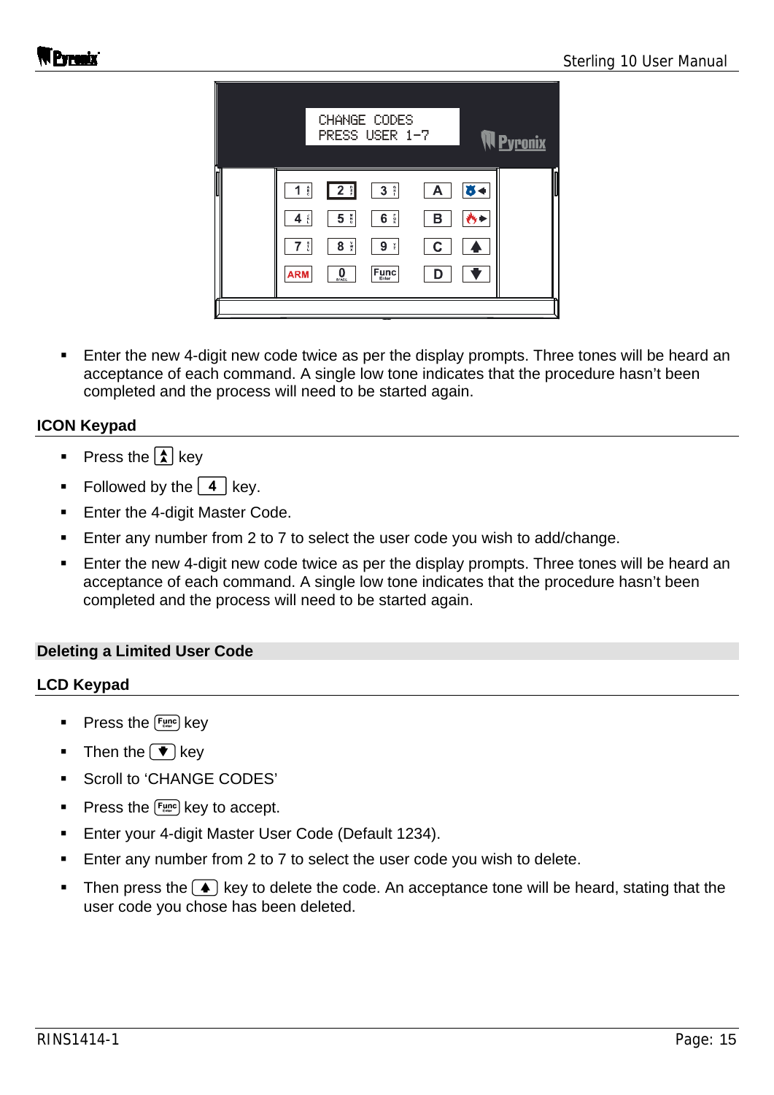

 Enter the new 4-digit new code twice as per the display prompts. Three tones will be heard an acceptance of each command. A single low tone indicates that the procedure hasn't been completed and the process will need to be started again.

#### **ICON Keypad**

- Press the  $\lambda$  key
- Followed by the  $\boxed{4}$  key.
- **Enter the 4-digit Master Code.**
- **Enter any number from 2 to 7 to select the user code you wish to add/change.**
- Enter the new 4-digit new code twice as per the display prompts. Three tones will be heard an acceptance of each command. A single low tone indicates that the procedure hasn't been completed and the process will need to be started again.

#### **Deleting a Limited User Code**

#### **LCD Keypad**

- Press the  $\left[\frac{Func}{error}\right]$  key
- Then the  $\bullet$  key
- Scroll to 'CHANGE CODES'
- Press the  $F_{\text{time}}$  key to accept.
- **Enter your 4-digit Master User Code (Default 1234).**
- **Enter any number from 2 to 7 to select the user code you wish to delete.**
- Then press the  $\blacktriangle$  key to delete the code. An acceptance tone will be heard, stating that the user code you chose has been deleted.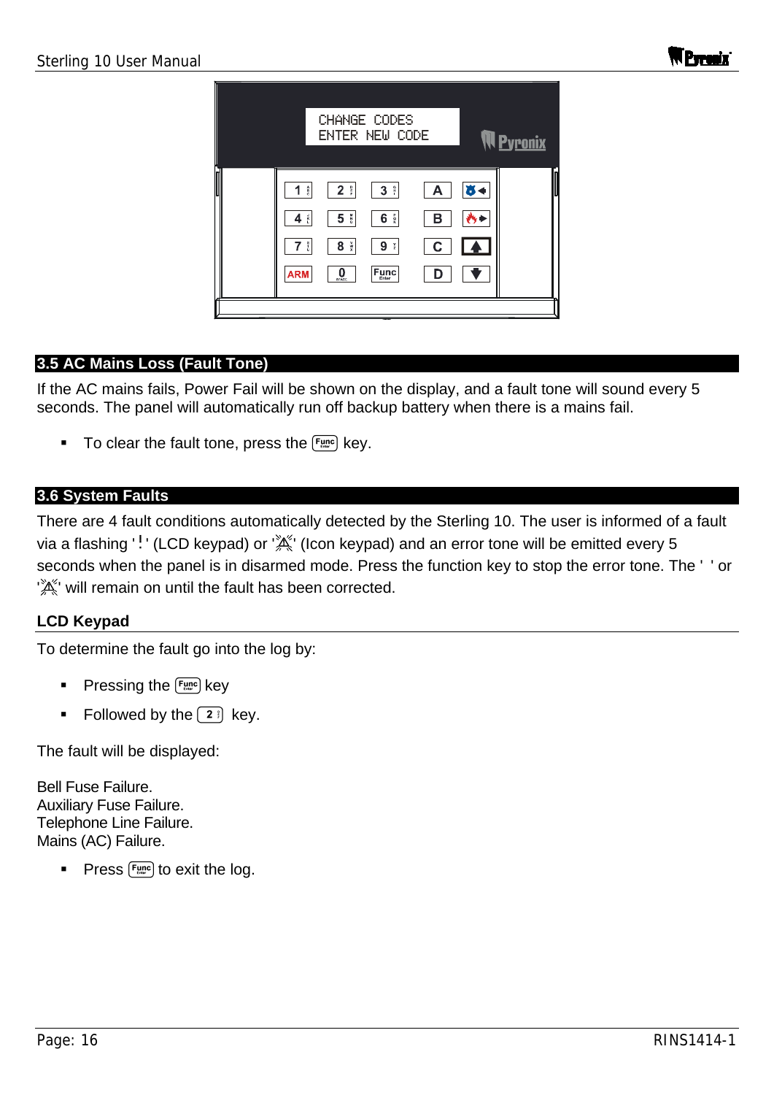

### **3.5 AC Mains Loss (Fault Tone)**

If the AC mains fails, Power Fail will be shown on the display, and a fault tone will sound every 5 seconds. The panel will automatically run off backup battery when there is a mains fail.

To clear the fault tone, press the  $F_{\text{unc}}$  key.

#### **3.6 System Faults**

There are 4 fault conditions automatically detected by the Sterling 10. The user is informed of a fault via a flashing '!' (LCD keypad) or ' $\mathbb{X}^k$ ' (Icon keypad) and an error tone will be emitted every 5 seconds when the panel is in disarmed mode. Press the function key to stop the error tone. The '' or  $'\mathbb{X}^n$  will remain on until the fault has been corrected.

### **LCD Keypad**

To determine the fault go into the log by:

- Pressing the  $F_{\text{time}}$  key
- Followed by the  $\boxed{2}$  key.

The fault will be displayed:

Bell Fuse Failure. Auxiliary Fuse Failure. Telephone Line Failure. Mains (AC) Failure.

Press  $F_{\text{unc}}$  to exit the log.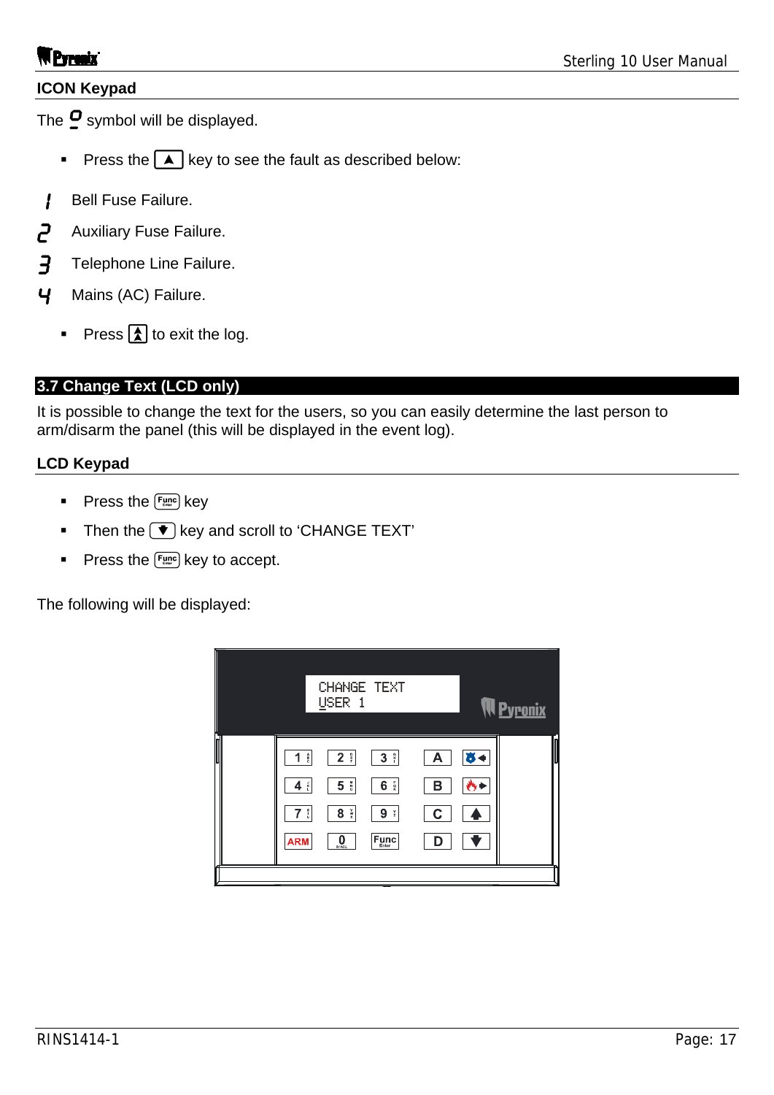#### **ICON Keypad**

The  $\mathbf{\Omega}$  symbol will be displayed.

- Press the  $\blacktriangle$  key to see the fault as described below:
- **Bell Fuse Failure.**
- **2** Auxiliary Fuse Failure.
- **3** Telephone Line Failure.
- 4 Mains (AC) Failure.
	- Press  $\boxed{\triangle}$  to exit the log.

### **3.7 Change Text (LCD only)**

It is possible to change the text for the users, so you can easily determine the last person to arm/disarm the panel (this will be displayed in the event log).

#### **LCD Keypad**

- Press the  $F_{\text{unc}}$  key
- Then the  $\blacktriangledown$  key and scroll to 'CHANGE TEXT'
- Press the  $F_{\text{time}}$  key to accept.

The following will be displayed:

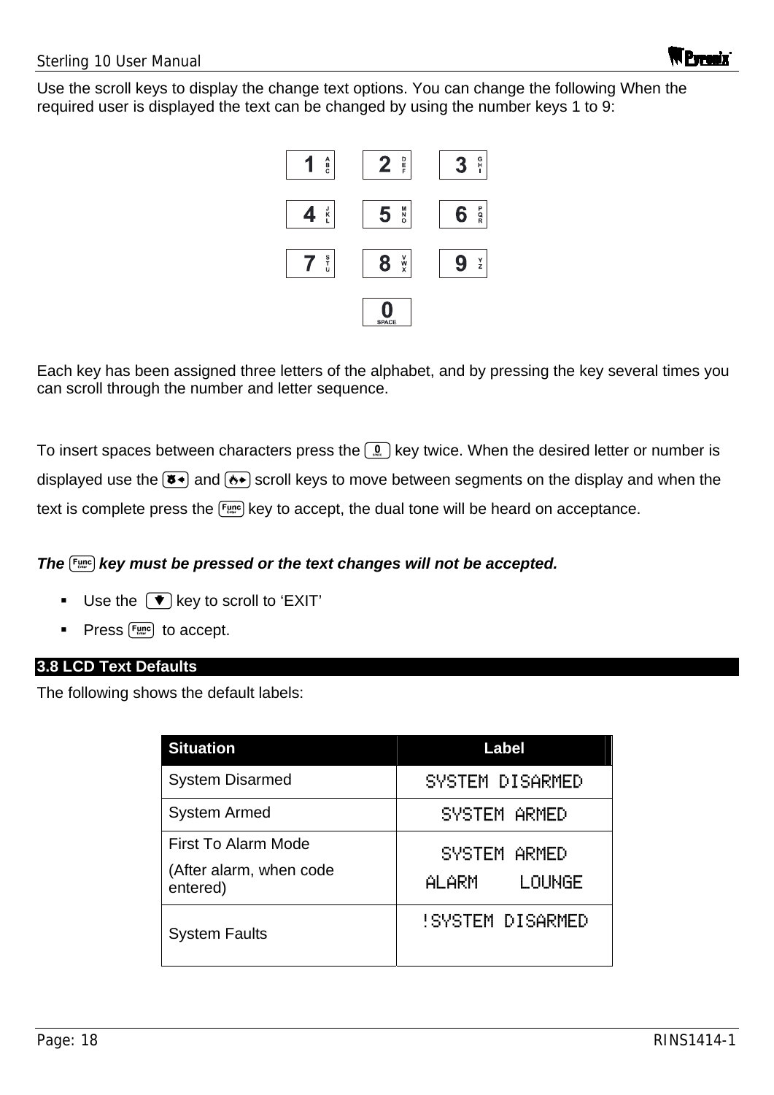

Each key has been assigned three letters of the alphabet, and by pressing the key several times you can scroll through the number and letter sequence.

To insert spaces between characters press the  $\lceil \Omega \rceil$  key twice. When the desired letter or number is displayed use the  $(\overline{8})$  and  $(\overline{8})$  scroll keys to move between segments on the display and when the text is complete press the  $F_{\text{time}}$  key to accept, the dual tone will be heard on acceptance.

### *The key must be pressed or the text changes will not be accepted.*

- Use the  $\left(\blacktriangledown\right)$  key to scroll to 'EXIT'
- Press  $F_{\text{time}}$  to accept.

#### **3.8 LCD Text Defaults**

The following shows the default labels:

| <b>Situation</b>                                           | Label                        |
|------------------------------------------------------------|------------------------------|
| <b>System Disarmed</b>                                     | SYSTEM DISARMED              |
| <b>System Armed</b>                                        | SYSTEM ARMED                 |
| First To Alarm Mode<br>(After alarm, when code<br>entered) | SYSTEM ARMED<br>ALARM LOUNGE |
| <b>System Faults</b>                                       | <b>ISYSTEM DISARMED</b>      |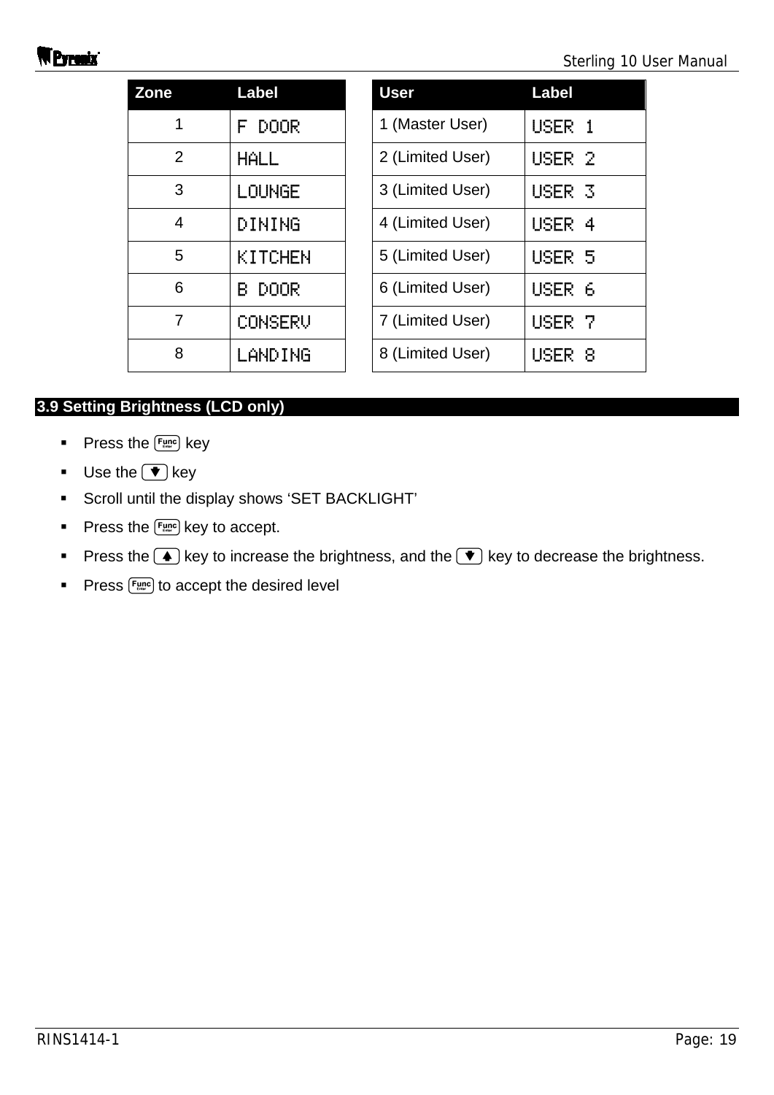| Zone           | <b>Label</b>     | <b>User</b>      | <b>Label</b> |
|----------------|------------------|------------------|--------------|
| 1              | <b>DOOR</b><br>F | 1 (Master User)  | <b>USER</b>  |
| $\overline{2}$ | <b>HALL</b>      | 2 (Limited User) | <b>USER</b>  |
| 3              | LOUNGE           | 3 (Limited User) | <b>USER</b>  |
| 4              | DINING           | 4 (Limited User) | <b>USER</b>  |
| 5              | KITCHEN          | 5 (Limited User) | <b>USER</b>  |
| 6              | <b>DOOR</b><br>В | 6 (Limited User) | USER         |
| 7              | CONSERV          | 7 (Limited User) | USER         |
| 8              | LANDING          | 8 (Limited User) | <b>USER</b>  |

|                | <b>Label</b>     | <b>User</b>      | <b>Label</b>      |
|----------------|------------------|------------------|-------------------|
| 1              | DOOR<br>F.       | 1 (Master User)  | USER 1            |
| $\overline{2}$ | <b>HALL</b>      | 2 (Limited User) | USER <sub>2</sub> |
| 3              | LOUNGE           | 3 (Limited User) | USER <sub>3</sub> |
| 4              | DINING           | 4 (Limited User) | USER 4            |
| 5              | KITCHEN          | 5 (Limited User) | USER 5            |
| 6              | <b>DOOR</b><br>R | 6 (Limited User) | USER 6            |
| 7              | CONSERU          | 7 (Limited User) | USER <sub>7</sub> |
| 8              | LANDING          | 8 (Limited User) | USER 8            |

### **3.9 Setting Brightness (LCD only)**

- $\blacksquare$  Press the  $\lceil \frac{Func}{m} \rceil$  key
- **Use the**  $\bullet$  key
- Scroll until the display shows 'SET BACKLIGHT'
- Press the  $F_{\text{time}}$  key to accept.
- Press the  $\Box$  key to increase the brightness, and the  $\nabla$  key to decrease the brightness.
- Press  $F_{\text{unc}}$  to accept the desired level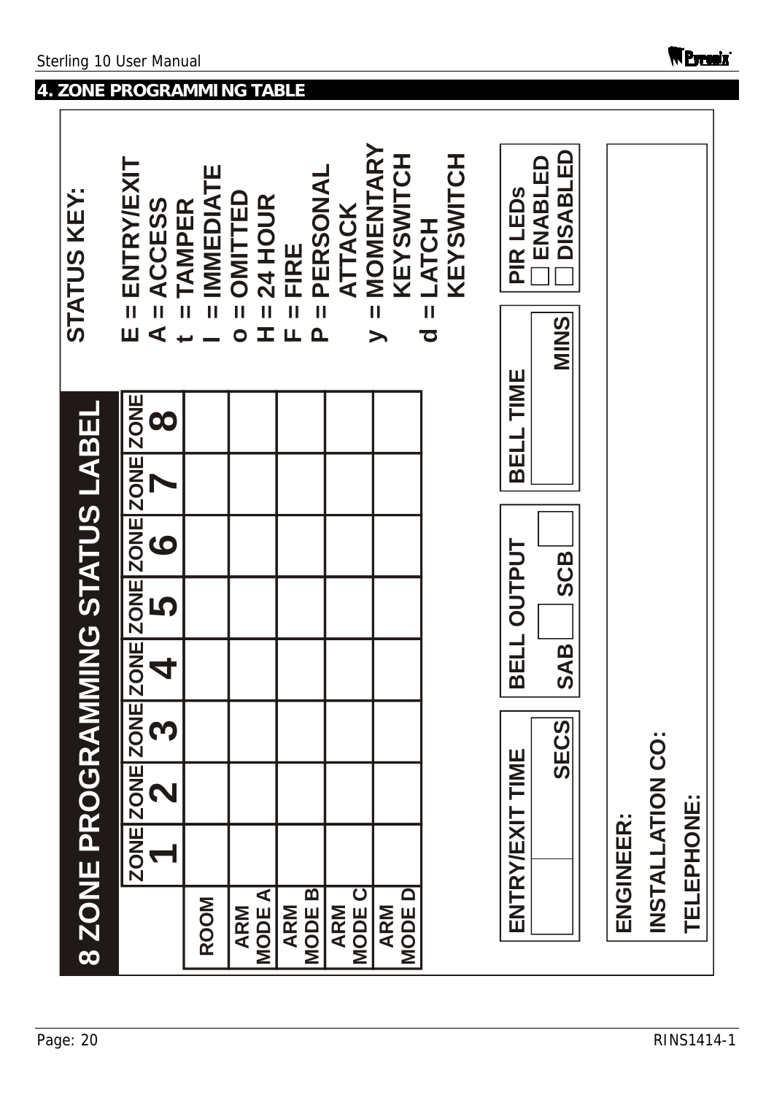$\overline{\phantom{a}}$ 

## **4. ZONE PROGRAMMING TABLE**

| 8 ZONE PROGRAMMING STATUS LABEL |            |                    |      |            |             |                                              |           | <b>STATUS KEY:</b>                                                             |
|---------------------------------|------------|--------------------|------|------------|-------------|----------------------------------------------|-----------|--------------------------------------------------------------------------------|
|                                 |            | ZONE ZONE ZON<br>N | 2    | 4          | 5           | E ZONE ZONE ZONE ZONE ZONE<br>$\overline{O}$ | 8         | = ENTRY/EXIT<br>ACCESS<br>$\overline{\mathbf{u}}$<br>$\blacktriangleleft$<br>Ш |
| <b>ROOM</b>                     |            |                    |      |            |             |                                              |           | IMMEDIATE<br><b>TAMPER</b>                                                     |
| <b>MODEA</b><br><b>ARM</b>      |            |                    |      |            |             |                                              |           | OMITTED<br>24 HOUR<br>T.<br>$\overline{\mathbf{o}}$                            |
| m<br><b>ARM</b><br>MODE I       |            |                    |      |            |             |                                              |           | PERSONAL<br>FIRE<br>$\mathbf{I}$<br>LL.<br>$\mathbf{\Omega}$                   |
| MODE C<br><b>ARM</b>            |            |                    |      |            |             |                                              |           | ATTACK                                                                         |
| <b>NODED</b><br><b>ARM</b>      |            |                    |      |            |             |                                              |           | = MOMENTARY<br>KEYSWITCH<br>$\blacktriangleright$                              |
|                                 |            |                    |      |            |             |                                              |           | KEYSWITCH<br>$d = LATCH$                                                       |
|                                 |            | ENTRY/EXIT TIME    | SECS | <b>SAB</b> | BELL OUTPUT | <b>SCB</b>                                   | BELL TIME | <b>DISABLED</b><br>ENABLED<br>PIR LEDS<br>S<br>NIKS                            |
|                                 | ENGINEER:  |                    |      |            |             |                                              |           |                                                                                |
|                                 |            | INSTALLATION CO:   |      |            |             |                                              |           |                                                                                |
|                                 | TELEPHONE: |                    |      |            |             |                                              |           |                                                                                |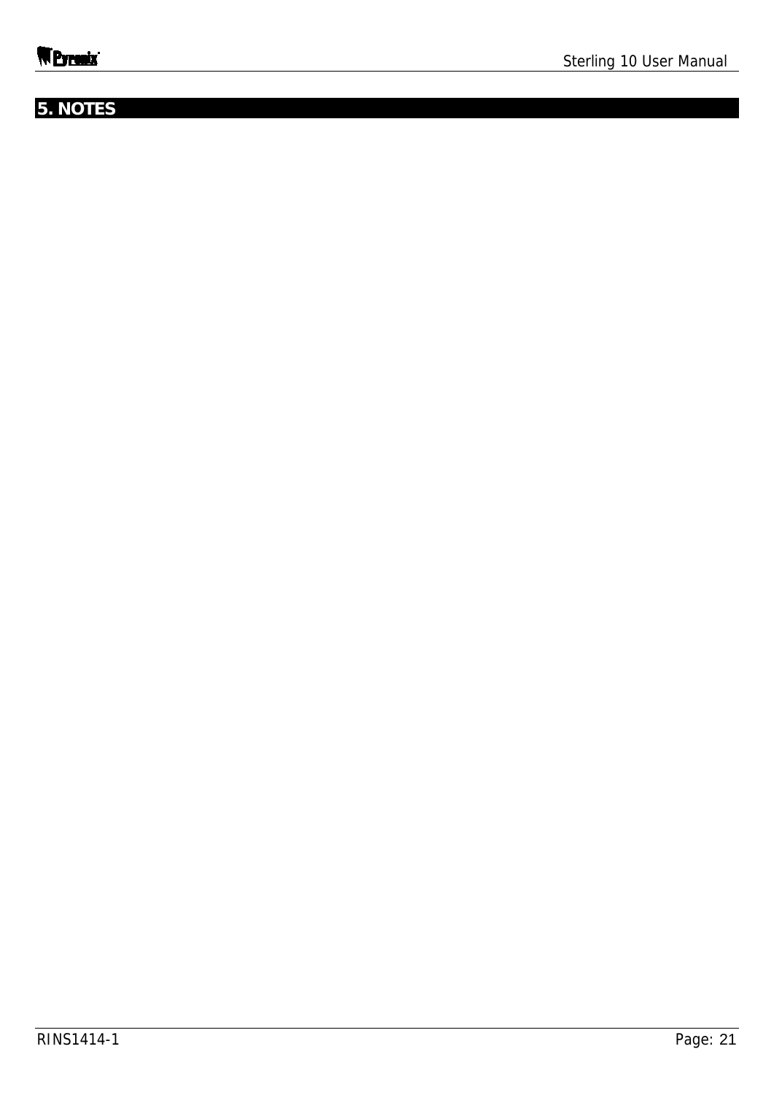## **5. NOTES**